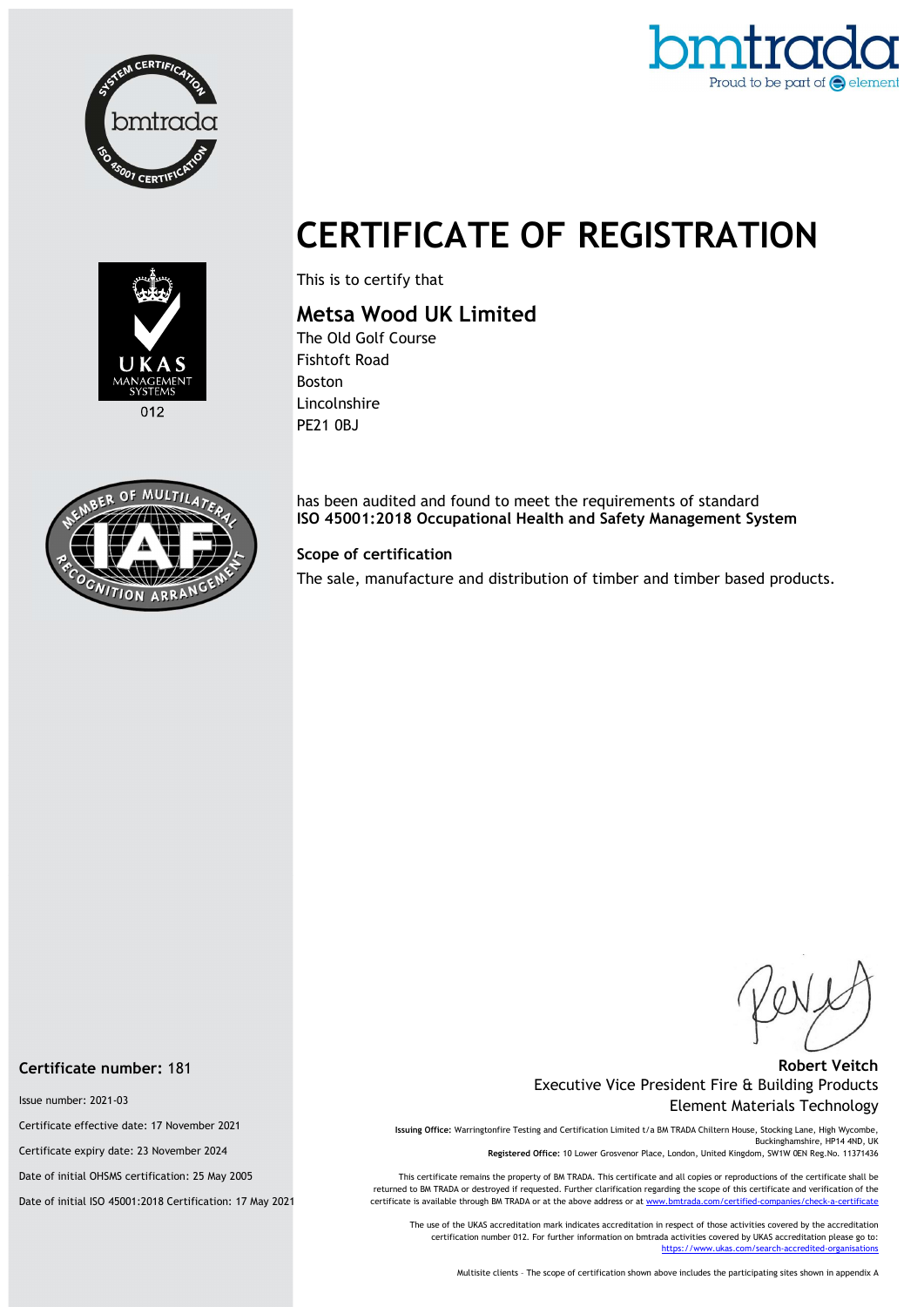



# CERTIFICATE OF REGISTRATION



This is to certify that

## Metsa Wood UK Limited

The Old Golf Course Fishtoft Road Boston Lincolnshire PE21 0BJ



has been audited and found to meet the requirements of standard ISO 45001:2018 Occupational Health and Safety Management System

#### Scope of certification

The sale, manufacture and distribution of timber and timber based products.

#### Robert Veitch Executive Vice President Fire & Building Products Element Materials Technology

Issuing Office: Warringtonfire Testing and Certification Limited t/a BM TRADA Chiltern House, Stocking Lane, High Wycombe, Buckinghamshire, HP14 4ND, UK Registered Office: 10 Lower Grosvenor Place, London, United Kingdom, SW1W 0EN Reg.No. 11371436

This certificate remains the property of BM TRADA. This certificate and all copies or reproductions of the certificate shall be returned to BM TRADA or destroyed if requested. Further clarification regarding the scope of this certificate and verification of the certificate is available through BM TRADA or at the above address or at www.bmtrada.com/certified-

The use of the UKAS accreditation mark indicates accreditation in respect of those activities covered by the accreditation certification number 012. For further information on bmtrada activities covered by UKAS accreditation please go to: https://www.ukas.com/search-accredited-organis

Multisite clients – The scope of certification shown above includes the participating sites shown in appendix A

#### Certificate number: 181

Issue number: 2021-03

Certificate effective date: 17 November 2021

Certificate expiry date: 23 November 2024

Date of initial OHSMS certification: 25 May 2005

Date of initial ISO 45001:2018 Certification: 17 May 2021